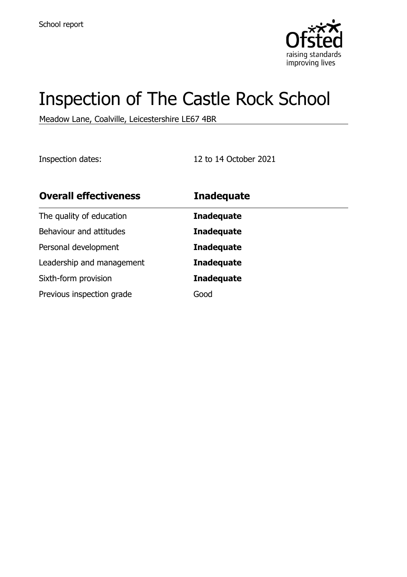

# Inspection of The Castle Rock School

Meadow Lane, Coalville, Leicestershire LE67 4BR

Inspection dates: 12 to 14 October 2021

| <b>Overall effectiveness</b> | <b>Inadequate</b> |
|------------------------------|-------------------|
| The quality of education     | <b>Inadequate</b> |
| Behaviour and attitudes      | <b>Inadequate</b> |
| Personal development         | <b>Inadequate</b> |
| Leadership and management    | <b>Inadequate</b> |
| Sixth-form provision         | <b>Inadequate</b> |
| Previous inspection grade    | Good              |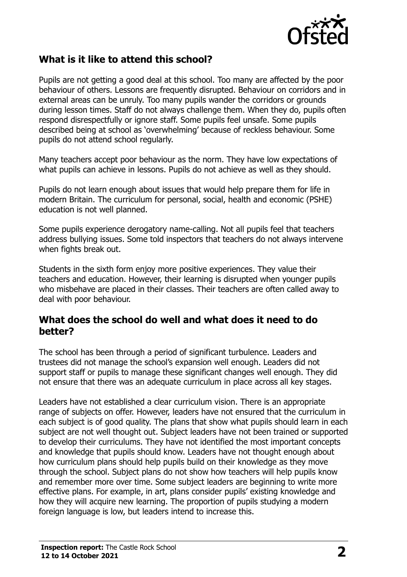

## **What is it like to attend this school?**

Pupils are not getting a good deal at this school. Too many are affected by the poor behaviour of others. Lessons are frequently disrupted. Behaviour on corridors and in external areas can be unruly. Too many pupils wander the corridors or grounds during lesson times. Staff do not always challenge them. When they do, pupils often respond disrespectfully or ignore staff. Some pupils feel unsafe. Some pupils described being at school as 'overwhelming' because of reckless behaviour. Some pupils do not attend school regularly.

Many teachers accept poor behaviour as the norm. They have low expectations of what pupils can achieve in lessons. Pupils do not achieve as well as they should.

Pupils do not learn enough about issues that would help prepare them for life in modern Britain. The curriculum for personal, social, health and economic (PSHE) education is not well planned.

Some pupils experience derogatory name-calling. Not all pupils feel that teachers address bullying issues. Some told inspectors that teachers do not always intervene when fights break out.

Students in the sixth form enjoy more positive experiences. They value their teachers and education. However, their learning is disrupted when younger pupils who misbehave are placed in their classes. Their teachers are often called away to deal with poor behaviour.

#### **What does the school do well and what does it need to do better?**

The school has been through a period of significant turbulence. Leaders and trustees did not manage the school's expansion well enough. Leaders did not support staff or pupils to manage these significant changes well enough. They did not ensure that there was an adequate curriculum in place across all key stages.

Leaders have not established a clear curriculum vision. There is an appropriate range of subjects on offer. However, leaders have not ensured that the curriculum in each subject is of good quality. The plans that show what pupils should learn in each subject are not well thought out. Subject leaders have not been trained or supported to develop their curriculums. They have not identified the most important concepts and knowledge that pupils should know. Leaders have not thought enough about how curriculum plans should help pupils build on their knowledge as they move through the school. Subject plans do not show how teachers will help pupils know and remember more over time. Some subject leaders are beginning to write more effective plans. For example, in art, plans consider pupils' existing knowledge and how they will acquire new learning. The proportion of pupils studying a modern foreign language is low, but leaders intend to increase this.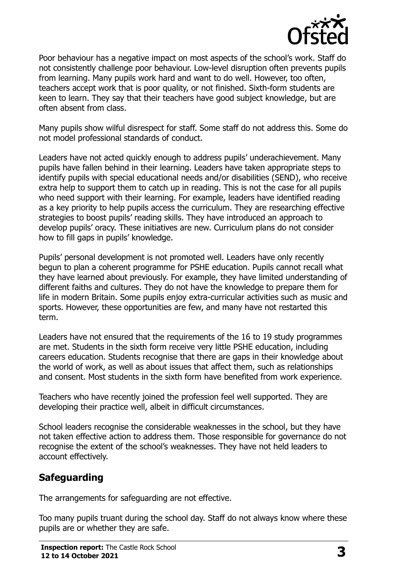

Poor behaviour has a negative impact on most aspects of the school's work. Staff do not consistently challenge poor behaviour. Low-level disruption often prevents pupils from learning. Many pupils work hard and want to do well. However, too often, teachers accept work that is poor quality, or not finished. Sixth-form students are keen to learn. They say that their teachers have good subject knowledge, but are often absent from class.

Many pupils show wilful disrespect for staff. Some staff do not address this. Some do not model professional standards of conduct.

Leaders have not acted quickly enough to address pupils' underachievement. Many pupils have fallen behind in their learning. Leaders have taken appropriate steps to identify pupils with special educational needs and/or disabilities (SEND), who receive extra help to support them to catch up in reading. This is not the case for all pupils who need support with their learning. For example, leaders have identified reading as a key priority to help pupils access the curriculum. They are researching effective strategies to boost pupils' reading skills. They have introduced an approach to develop pupils' oracy. These initiatives are new. Curriculum plans do not consider how to fill gaps in pupils' knowledge.

Pupils' personal development is not promoted well. Leaders have only recently begun to plan a coherent programme for PSHE education. Pupils cannot recall what they have learned about previously. For example, they have limited understanding of different faiths and cultures. They do not have the knowledge to prepare them for life in modern Britain. Some pupils enjoy extra-curricular activities such as music and sports. However, these opportunities are few, and many have not restarted this term.

Leaders have not ensured that the requirements of the 16 to 19 study programmes are met. Students in the sixth form receive very little PSHE education, including careers education. Students recognise that there are gaps in their knowledge about the world of work, as well as about issues that affect them, such as relationships and consent. Most students in the sixth form have benefited from work experience.

Teachers who have recently joined the profession feel well supported. They are developing their practice well, albeit in difficult circumstances.

School leaders recognise the considerable weaknesses in the school, but they have not taken effective action to address them. Those responsible for governance do not recognise the extent of the school's weaknesses. They have not held leaders to account effectively.

## **Safeguarding**

The arrangements for safeguarding are not effective.

Too many pupils truant during the school day. Staff do not always know where these pupils are or whether they are safe.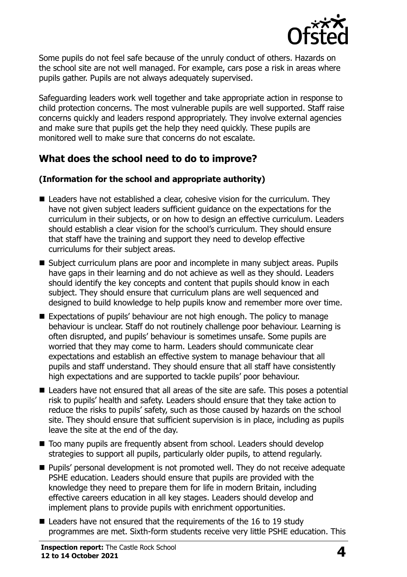

Some pupils do not feel safe because of the unruly conduct of others. Hazards on the school site are not well managed. For example, cars pose a risk in areas where pupils gather. Pupils are not always adequately supervised.

Safeguarding leaders work well together and take appropriate action in response to child protection concerns. The most vulnerable pupils are well supported. Staff raise concerns quickly and leaders respond appropriately. They involve external agencies and make sure that pupils get the help they need quickly. These pupils are monitored well to make sure that concerns do not escalate.

## **What does the school need to do to improve?**

#### **(Information for the school and appropriate authority)**

- Leaders have not established a clear, cohesive vision for the curriculum. They have not given subject leaders sufficient guidance on the expectations for the curriculum in their subjects, or on how to design an effective curriculum. Leaders should establish a clear vision for the school's curriculum. They should ensure that staff have the training and support they need to develop effective curriculums for their subject areas.
- Subject curriculum plans are poor and incomplete in many subject areas. Pupils have gaps in their learning and do not achieve as well as they should. Leaders should identify the key concepts and content that pupils should know in each subject. They should ensure that curriculum plans are well sequenced and designed to build knowledge to help pupils know and remember more over time.
- Expectations of pupils' behaviour are not high enough. The policy to manage behaviour is unclear. Staff do not routinely challenge poor behaviour. Learning is often disrupted, and pupils' behaviour is sometimes unsafe. Some pupils are worried that they may come to harm. Leaders should communicate clear expectations and establish an effective system to manage behaviour that all pupils and staff understand. They should ensure that all staff have consistently high expectations and are supported to tackle pupils' poor behaviour.
- Leaders have not ensured that all areas of the site are safe. This poses a potential risk to pupils' health and safety. Leaders should ensure that they take action to reduce the risks to pupils' safety, such as those caused by hazards on the school site. They should ensure that sufficient supervision is in place, including as pupils leave the site at the end of the day.
- Too many pupils are frequently absent from school. Leaders should develop strategies to support all pupils, particularly older pupils, to attend regularly.
- Pupils' personal development is not promoted well. They do not receive adequate PSHE education. Leaders should ensure that pupils are provided with the knowledge they need to prepare them for life in modern Britain, including effective careers education in all key stages. Leaders should develop and implement plans to provide pupils with enrichment opportunities.
- Leaders have not ensured that the requirements of the 16 to 19 study programmes are met. Sixth-form students receive very little PSHE education. This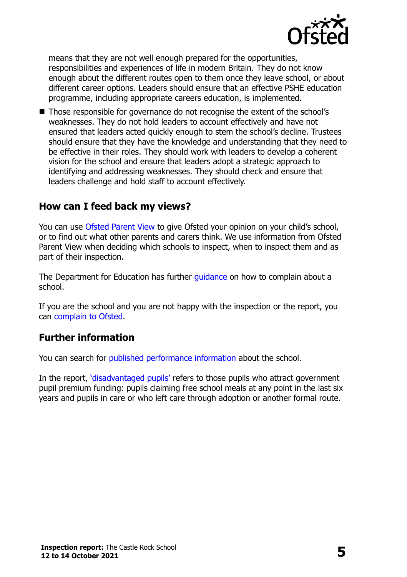

means that they are not well enough prepared for the opportunities, responsibilities and experiences of life in modern Britain. They do not know enough about the different routes open to them once they leave school, or about different career options. Leaders should ensure that an effective PSHE education programme, including appropriate careers education, is implemented.

■ Those responsible for governance do not recognise the extent of the school's weaknesses. They do not hold leaders to account effectively and have not ensured that leaders acted quickly enough to stem the school's decline. Trustees should ensure that they have the knowledge and understanding that they need to be effective in their roles. They should work with leaders to develop a coherent vision for the school and ensure that leaders adopt a strategic approach to identifying and addressing weaknesses. They should check and ensure that leaders challenge and hold staff to account effectively.

### **How can I feed back my views?**

You can use [Ofsted Parent View](http://parentview.ofsted.gov.uk/) to give Ofsted your opinion on your child's school, or to find out what other parents and carers think. We use information from Ofsted Parent View when deciding which schools to inspect, when to inspect them and as part of their inspection.

The Department for Education has further quidance on how to complain about a school.

If you are the school and you are not happy with the inspection or the report, you can [complain to Ofsted.](http://www.gov.uk/complain-ofsted-report)

#### **Further information**

You can search for [published performance information](http://www.compare-school-performance.service.gov.uk/) about the school.

In the report, '[disadvantaged pupils](http://www.gov.uk/guidance/pupil-premium-information-for-schools-and-alternative-provision-settings)' refers to those pupils who attract government pupil premium funding: pupils claiming free school meals at any point in the last six years and pupils in care or who left care through adoption or another formal route.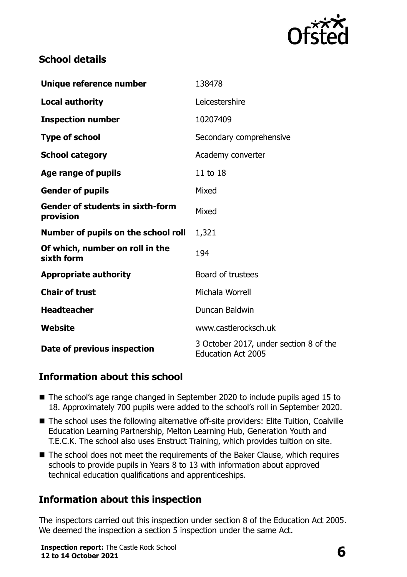

## **School details**

| Unique reference number                              | 138478                                                              |
|------------------------------------------------------|---------------------------------------------------------------------|
| <b>Local authority</b>                               | Leicestershire                                                      |
| <b>Inspection number</b>                             | 10207409                                                            |
| <b>Type of school</b>                                | Secondary comprehensive                                             |
| <b>School category</b>                               | Academy converter                                                   |
| Age range of pupils                                  | 11 to 18                                                            |
| <b>Gender of pupils</b>                              | Mixed                                                               |
| <b>Gender of students in sixth-form</b><br>provision | Mixed                                                               |
| Number of pupils on the school roll                  | 1,321                                                               |
| Of which, number on roll in the<br>sixth form        | 194                                                                 |
| <b>Appropriate authority</b>                         | Board of trustees                                                   |
| <b>Chair of trust</b>                                | Michala Worrell                                                     |
| <b>Headteacher</b>                                   | Duncan Baldwin                                                      |
| Website                                              | www.castlerocksch.uk                                                |
| Date of previous inspection                          | 3 October 2017, under section 8 of the<br><b>Education Act 2005</b> |

## **Information about this school**

- The school's age range changed in September 2020 to include pupils aged 15 to 18. Approximately 700 pupils were added to the school's roll in September 2020.
- The school uses the following alternative off-site providers: Elite Tuition, Coalville Education Learning Partnership, Melton Learning Hub, Generation Youth and T.E.C.K. The school also uses Enstruct Training, which provides tuition on site.
- The school does not meet the requirements of the Baker Clause, which requires schools to provide pupils in Years 8 to 13 with information about approved technical education qualifications and apprenticeships.

## **Information about this inspection**

The inspectors carried out this inspection under section 8 of the Education Act 2005. We deemed the inspection a section 5 inspection under the same Act.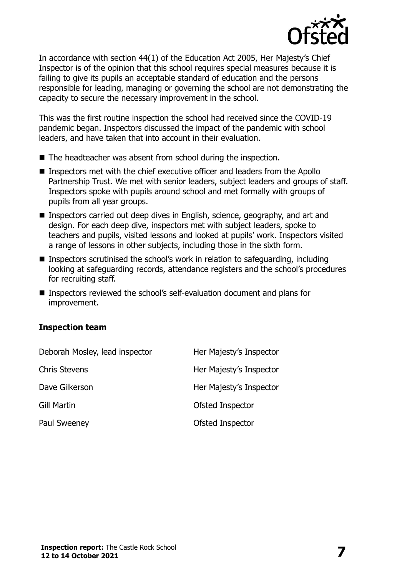

In accordance with section 44(1) of the Education Act 2005, Her Majesty's Chief Inspector is of the opinion that this school requires special measures because it is failing to give its pupils an acceptable standard of education and the persons responsible for leading, managing or governing the school are not demonstrating the capacity to secure the necessary improvement in the school.

This was the first routine inspection the school had received since the COVID-19 pandemic began. Inspectors discussed the impact of the pandemic with school leaders, and have taken that into account in their evaluation.

- The headteacher was absent from school during the inspection.
- Inspectors met with the chief executive officer and leaders from the Apollo Partnership Trust. We met with senior leaders, subject leaders and groups of staff. Inspectors spoke with pupils around school and met formally with groups of pupils from all year groups.
- Inspectors carried out deep dives in English, science, geography, and art and design. For each deep dive, inspectors met with subject leaders, spoke to teachers and pupils, visited lessons and looked at pupils' work. Inspectors visited a range of lessons in other subjects, including those in the sixth form.
- Inspectors scrutinised the school's work in relation to safeguarding, including looking at safeguarding records, attendance registers and the school's procedures for recruiting staff.
- Inspectors reviewed the school's self-evaluation document and plans for improvement.

#### **Inspection team**

| Deborah Mosley, lead inspector | Her Majesty's Inspector |
|--------------------------------|-------------------------|
| <b>Chris Stevens</b>           | Her Majesty's Inspector |
| Dave Gilkerson                 | Her Majesty's Inspector |
| Gill Martin                    | Ofsted Inspector        |
| Paul Sweeney                   | Ofsted Inspector        |